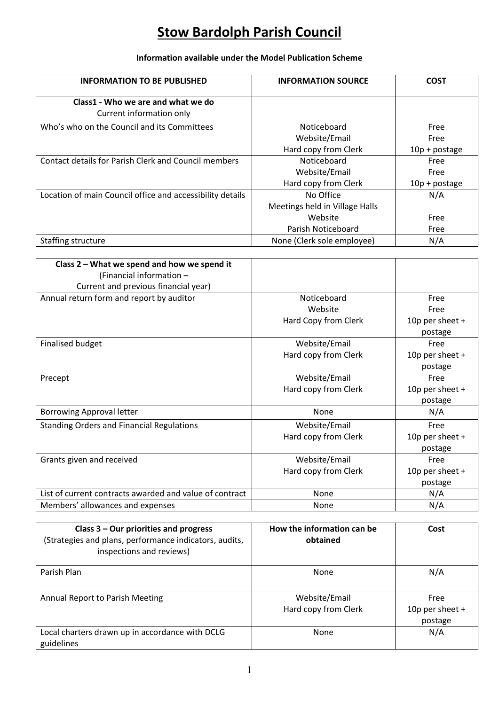## **Stow Bardolph Parish Council**

## **Information available under the Model Publication Scheme**

| <b>INFORMATION TO BE PUBLISHED</b>                             | <b>INFORMATION SOURCE</b>      | <b>COST</b>     |
|----------------------------------------------------------------|--------------------------------|-----------------|
| Class1 - Who we are and what we do<br>Current information only |                                |                 |
| Who's who on the Council and its Committees                    | Noticeboard                    | Free            |
|                                                                | Website/Email                  | Free            |
|                                                                | Hard copy from Clerk           | $10p + postage$ |
| Contact details for Parish Clerk and Council members           | Noticeboard                    | Free            |
|                                                                | Website/Email                  | Free            |
|                                                                | Hard copy from Clerk           | $10p + postage$ |
| Location of main Council office and accessibility details      | No Office                      | N/A             |
|                                                                | Meetings held in Village Halls |                 |
|                                                                | Website                        | Free            |
|                                                                | Parish Noticeboard             | Free            |
| Staffing structure                                             | None (Clerk sole employee)     | N/A             |

| Class 2 - What we spend and how we spend it             |                      |                 |
|---------------------------------------------------------|----------------------|-----------------|
| (Financial information -                                |                      |                 |
| Current and previous financial year)                    |                      |                 |
| Annual return form and report by auditor                | Noticeboard          | Free            |
|                                                         | Website              | Free            |
|                                                         | Hard Copy from Clerk | 10p per sheet + |
|                                                         |                      | postage         |
| <b>Finalised budget</b>                                 | Website/Email        | Free            |
|                                                         | Hard copy from Clerk | 10p per sheet + |
|                                                         |                      | postage         |
| Precept                                                 | Website/Email        | Free            |
|                                                         | Hard copy from Clerk | 10p per sheet + |
|                                                         |                      | postage         |
| <b>Borrowing Approval letter</b>                        | None                 | N/A             |
| <b>Standing Orders and Financial Regulations</b>        | Website/Email        | Free            |
|                                                         | Hard copy from Clerk | 10p per sheet + |
|                                                         |                      | postage         |
| Grants given and received                               | Website/Email        | Free            |
|                                                         | Hard copy from Clerk | 10p per sheet + |
|                                                         |                      | postage         |
| List of current contracts awarded and value of contract | None                 | N/A             |
| Members' allowances and expenses                        | None                 | N/A             |

| Class $3$ – Our priorities and progress<br>(Strategies and plans, performance indicators, audits,<br>inspections and reviews) | How the information can be<br>obtained | Cost                                 |
|-------------------------------------------------------------------------------------------------------------------------------|----------------------------------------|--------------------------------------|
| Parish Plan                                                                                                                   | None                                   | N/A                                  |
| Annual Report to Parish Meeting                                                                                               | Website/Email<br>Hard copy from Clerk  | Free<br>10p per sheet $+$<br>postage |
| Local charters drawn up in accordance with DCLG<br>guidelines                                                                 | None                                   | N/A                                  |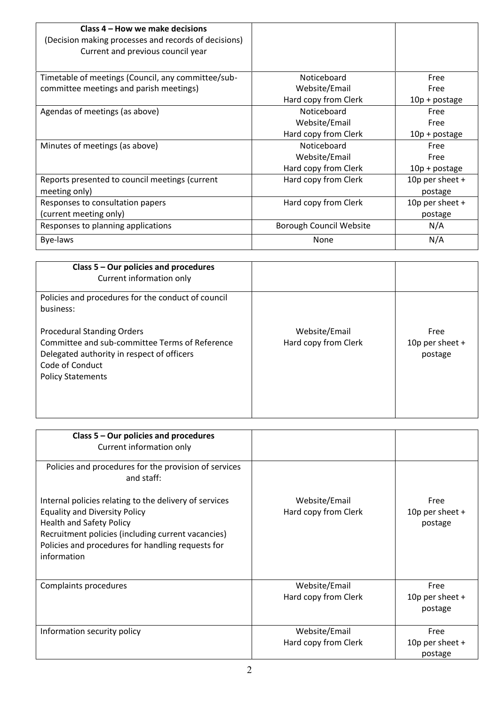| Class 4 – How we make decisions<br>(Decision making processes and records of decisions) |                         |                   |
|-----------------------------------------------------------------------------------------|-------------------------|-------------------|
| Current and previous council year                                                       |                         |                   |
| Timetable of meetings (Council, any committee/sub-                                      | Noticeboard             | Free              |
| committee meetings and parish meetings)                                                 | Website/Email           | Free              |
|                                                                                         | Hard copy from Clerk    | 10p + postage     |
| Agendas of meetings (as above)                                                          | Noticeboard             | Free              |
|                                                                                         | Website/Email           | Free              |
|                                                                                         | Hard copy from Clerk    | 10p + postage     |
| Minutes of meetings (as above)                                                          | Noticeboard             | Free              |
|                                                                                         | Website/Email           | Free              |
|                                                                                         | Hard copy from Clerk    | 10p + postage     |
| Reports presented to council meetings (current                                          | Hard copy from Clerk    | 10p per sheet $+$ |
| meeting only)                                                                           |                         | postage           |
| Responses to consultation papers                                                        | Hard copy from Clerk    | 10p per sheet $+$ |
| (current meeting only)                                                                  |                         | postage           |
| Responses to planning applications                                                      | Borough Council Website | N/A               |
| Bye-laws                                                                                | None                    | N/A               |

| Class 5 - Our policies and procedures<br>Current information only                                                                                                                |                                       |                                      |
|----------------------------------------------------------------------------------------------------------------------------------------------------------------------------------|---------------------------------------|--------------------------------------|
| Policies and procedures for the conduct of council<br>business:                                                                                                                  |                                       |                                      |
| <b>Procedural Standing Orders</b><br>Committee and sub-committee Terms of Reference<br>Delegated authority in respect of officers<br>Code of Conduct<br><b>Policy Statements</b> | Website/Email<br>Hard copy from Clerk | Free<br>10p per sheet $+$<br>postage |

| Class $5 -$ Our policies and procedures<br>Current information only                                                                                                                                                                                         |                                       |                                      |
|-------------------------------------------------------------------------------------------------------------------------------------------------------------------------------------------------------------------------------------------------------------|---------------------------------------|--------------------------------------|
| Policies and procedures for the provision of services<br>and staff:                                                                                                                                                                                         |                                       |                                      |
| Internal policies relating to the delivery of services<br><b>Equality and Diversity Policy</b><br><b>Health and Safety Policy</b><br>Recruitment policies (including current vacancies)<br>Policies and procedures for handling requests for<br>information | Website/Email<br>Hard copy from Clerk | Free<br>10p per sheet $+$<br>postage |
| Complaints procedures                                                                                                                                                                                                                                       | Website/Email<br>Hard copy from Clerk | Free<br>10p per sheet +<br>postage   |
| Information security policy                                                                                                                                                                                                                                 | Website/Email<br>Hard copy from Clerk | Free<br>10p per sheet $+$<br>postage |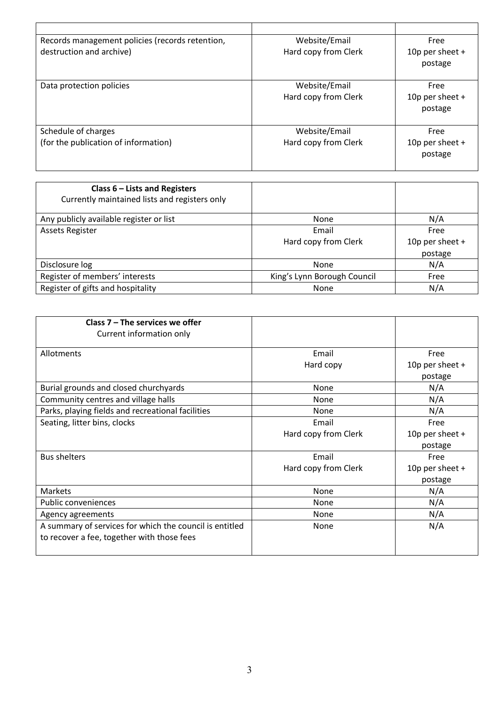| Records management policies (records retention,<br>destruction and archive) | Website/Email<br>Hard copy from Clerk | Free<br>10p per sheet $+$            |
|-----------------------------------------------------------------------------|---------------------------------------|--------------------------------------|
|                                                                             |                                       | postage                              |
| Data protection policies                                                    | Website/Email<br>Hard copy from Clerk | Free<br>10p per sheet $+$<br>postage |
| Schedule of charges                                                         | Website/Email                         | Free                                 |
| (for the publication of information)                                        | Hard copy from Clerk                  | 10p per sheet $+$<br>postage         |

| Class $6$ – Lists and Registers<br>Currently maintained lists and registers only |                             |                 |
|----------------------------------------------------------------------------------|-----------------------------|-----------------|
| Any publicly available register or list                                          | None                        | N/A             |
| <b>Assets Register</b>                                                           | Email                       | Free            |
|                                                                                  | Hard copy from Clerk        | 10p per sheet + |
|                                                                                  |                             | postage         |
| Disclosure log                                                                   | None                        | N/A             |
| Register of members' interests                                                   | King's Lynn Borough Council | Free            |
| Register of gifts and hospitality                                                | None                        | N/A             |

| Class $7 -$ The services we offer                       |                      |                 |
|---------------------------------------------------------|----------------------|-----------------|
| Current information only                                |                      |                 |
| Allotments                                              | Email                | Free            |
|                                                         | Hard copy            | 10p per sheet + |
|                                                         |                      | postage         |
| Burial grounds and closed churchyards                   | None                 | N/A             |
| Community centres and village halls                     | None                 | N/A             |
| Parks, playing fields and recreational facilities       | None                 | N/A             |
| Seating, litter bins, clocks                            | Email                | Free            |
|                                                         | Hard copy from Clerk | 10p per sheet + |
|                                                         |                      | postage         |
| <b>Bus shelters</b>                                     | Email                | Free            |
|                                                         | Hard copy from Clerk | 10p per sheet + |
|                                                         |                      | postage         |
| Markets                                                 | None                 | N/A             |
| Public conveniences                                     | None                 | N/A             |
| Agency agreements                                       | None                 | N/A             |
| A summary of services for which the council is entitled | None                 | N/A             |
| to recover a fee, together with those fees              |                      |                 |
|                                                         |                      |                 |